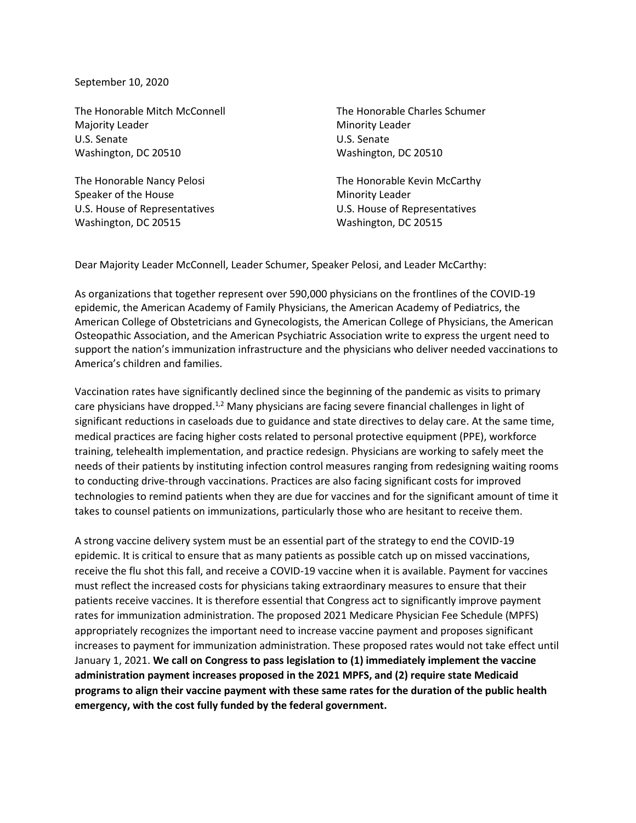September 10, 2020

The Honorable Mitch McConnell The Honorable Charles Schumer Majority Leader **Minority Leader** Minority Leader U.S. Senate U.S. Senate Washington, DC 20510 Washington, DC 20510

Speaker of the House Minority Leader U.S. House of Representatives U.S. House of Representatives Washington, DC 20515 Washington, DC 20515

The Honorable Nancy Pelosi **The Honorable Kevin McCarthy** 

Dear Majority Leader McConnell, Leader Schumer, Speaker Pelosi, and Leader McCarthy:

As organizations that together represent over 590,000 physicians on the frontlines of the COVID-19 epidemic, the American Academy of Family Physicians, the American Academy of Pediatrics, the American College of Obstetricians and Gynecologists, the American College of Physicians, the American Osteopathic Association, and the American Psychiatric Association write to express the urgent need to support the nation's immunization infrastructure and the physicians who deliver needed vaccinations to America's children and families.

Vaccination rates have significantly declined since the beginning of the pandemic as visits to primary care physicians have dropped.<sup>1,2</sup> Many physicians are facing severe financial challenges in light of significant reductions in caseloads due to guidance and state directives to delay care. At the same time, medical practices are facing higher costs related to personal protective equipment (PPE), workforce training, telehealth implementation, and practice redesign. Physicians are working to safely meet the needs of their patients by instituting infection control measures ranging from redesigning waiting rooms to conducting drive-through vaccinations. Practices are also facing significant costs for improved technologies to remind patients when they are due for vaccines and for the significant amount of time it takes to counsel patients on immunizations, particularly those who are hesitant to receive them.

A strong vaccine delivery system must be an essential part of the strategy to end the COVID-19 epidemic. It is critical to ensure that as many patients as possible catch up on missed vaccinations, receive the flu shot this fall, and receive a COVID-19 vaccine when it is available. Payment for vaccines must reflect the increased costs for physicians taking extraordinary measures to ensure that their patients receive vaccines. It is therefore essential that Congress act to significantly improve payment rates for immunization administration. The proposed 2021 Medicare Physician Fee Schedule (MPFS) appropriately recognizes the important need to increase vaccine payment and proposes significant increases to payment for immunization administration. These proposed rates would not take effect until January 1, 2021. **We call on Congress to pass legislation to (1) immediately implement the vaccine administration payment increases proposed in the 2021 MPFS, and (2) require state Medicaid programs to align their vaccine payment with these same rates for the duration of the public health emergency, with the cost fully funded by the federal government.**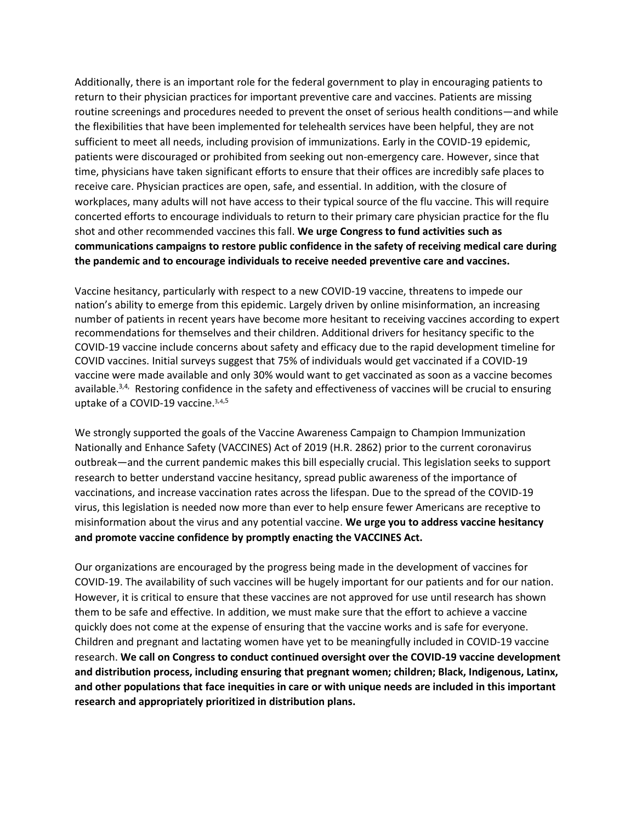Additionally, there is an important role for the federal government to play in encouraging patients to return to their physician practices for important preventive care and vaccines. Patients are missing routine screenings and procedures needed to prevent the onset of serious health conditions—and while the flexibilities that have been implemented for telehealth services have been helpful, they are not sufficient to meet all needs, including provision of immunizations. Early in the COVID-19 epidemic, patients were discouraged or prohibited from seeking out non-emergency care. However, since that time, physicians have taken significant efforts to ensure that their offices are incredibly safe places to receive care. Physician practices are open, safe, and essential. In addition, with the closure of workplaces, many adults will not have access to their typical source of the flu vaccine. This will require concerted efforts to encourage individuals to return to their primary care physician practice for the flu shot and other recommended vaccines this fall. **We urge Congress to fund activities such as communications campaigns to restore public confidence in the safety of receiving medical care during the pandemic and to encourage individuals to receive needed preventive care and vaccines.**

Vaccine hesitancy, particularly with respect to a new COVID-19 vaccine, threatens to impede our nation's ability to emerge from this epidemic. Largely driven by online misinformation, an increasing number of patients in recent years have become more hesitant to receiving vaccines according to expert recommendations for themselves and their children. Additional drivers for hesitancy specific to the COVID-19 vaccine include concerns about safety and efficacy due to the rapid development timeline for COVID vaccines. Initial surveys suggest that 75% of individuals would get vaccinated if a COVID-19 vaccine were made available and only 30% would want to get vaccinated as soon as a vaccine becomes available.<sup>3,4,</sup> Restoring confidence in the safety and effectiveness of vaccines will be crucial to ensuring uptake of a COVID-19 vaccine[.](#page-1-0)<sup>3,[4](#page-1-1),5</sup>

<span id="page-1-1"></span><span id="page-1-0"></span>We strongly supported the goals of the Vaccine Awareness Campaign to Champion Immunization Nationally and Enhance Safety (VACCINES) Act of 2019 (H.R. 2862) prior to the current coronavirus outbreak—and the current pandemic makes this bill especially crucial. This legislation seeks to support research to better understand vaccine hesitancy, spread public awareness of the importance of vaccinations, and increase vaccination rates across the lifespan. Due to the spread of the COVID-19 virus, this legislation is needed now more than ever to help ensure fewer Americans are receptive to misinformation about the virus and any potential vaccine. **We urge you to address vaccine hesitancy and promote vaccine confidence by promptly enacting the VACCINES Act.**

Our organizations are encouraged by the progress being made in the development of vaccines for COVID-19. The availability of such vaccines will be hugely important for our patients and for our nation. However, it is critical to ensure that these vaccines are not approved for use until research has shown them to be safe and effective. In addition, we must make sure that the effort to achieve a vaccine quickly does not come at the expense of ensuring that the vaccine works and is safe for everyone. Children and pregnant and lactating women have yet to be meaningfully included in COVID-19 vaccine research. **We call on Congress to conduct continued oversight over the COVID-19 vaccine development and distribution process, including ensuring that pregnant women; children; Black, Indigenous, Latinx, and other populations that face inequities in care or with unique needs are included in this important research and appropriately prioritized in distribution plans.**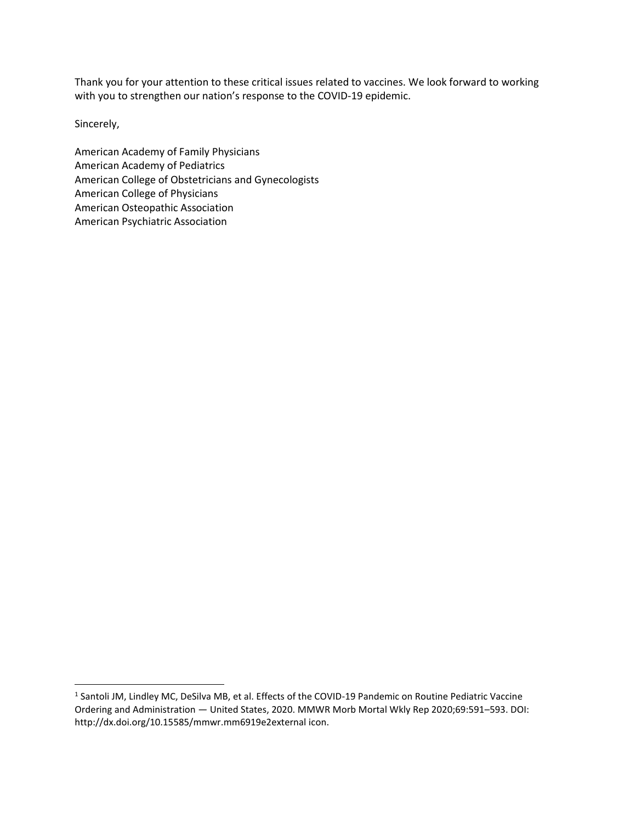Thank you for your attention to these critical issues related to vaccines. We look forward to working with you to strengthen our nation's response to the COVID-19 epidemic.

Sincerely,

American Academy of Family Physicians American Academy of Pediatrics American College of Obstetricians and Gynecologists American College of Physicians American Osteopathic Association American Psychiatric Association

<sup>&</sup>lt;sup>1</sup> Santoli JM, Lindley MC, DeSilva MB, et al. Effects of the COVID-19 Pandemic on Routine Pediatric Vaccine Ordering and Administration — United States, 2020. MMWR Morb Mortal Wkly Rep 2020;69:591–593. DOI: http://dx.doi.org/10.15585/mmwr.mm6919e2external icon.